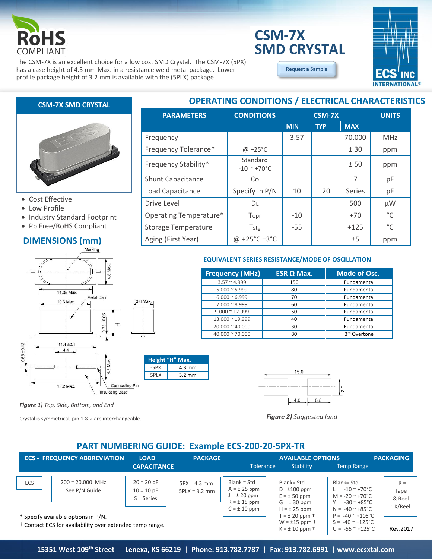

# **SMD CRYSTAL CSM-7X**

The CSM-7X is an excellent choice for a low cost SMD Crystal. The CSM-7X (5PX) has a case height of 4.3 mm Max. in a resistance weld metal package. Lower profile package height of 3.2 mm is available with the (5PLX) package.

**[Request a Sample](http://ecsxtalportal.com/samplepilot/samplerequest.php)**



#### **CSM-7X SMD CRYSTAL**



- Cost Effective
- Low Profile
- Industry Standard Footprint
- Pb Free/RoHS Compliant

# **DIMENSIONS (mm)**



*Figure 1) Top, Side, Bottom, and End*

Crystal is symmetrical, pin 1 & 2 are interchangeable.

### **OPERATING CONDITIONS / ELECTRICAL CHARACTERISTICS**

| <b>PARAMETERS</b>          | <b>CONDITIONS</b>         |            | <b>CSM-7X</b> |               | <b>UNITS</b> |
|----------------------------|---------------------------|------------|---------------|---------------|--------------|
|                            |                           | <b>MIN</b> | <b>TYP</b>    | <b>MAX</b>    |              |
| Frequency                  |                           | 3.57       |               | 70.000        | <b>MHz</b>   |
| Frequency Tolerance*       | $@ + 25°C$                |            |               | ± 30          | ppm          |
| Frequency Stability*       | Standard<br>$-10$ ~ +70°C |            |               | ±50           | ppm          |
| Shunt Capacitance          | Co                        |            |               | 7             | pF           |
| Load Capacitance           | Specify in P/N            | 10         | 20            | <b>Series</b> | pF           |
| Drive Level                | DL                        |            |               | 500           | μW           |
| Operating Temperature*     | Topr                      | $-10$      |               | $+70$         | °C           |
| <b>Storage Temperature</b> | Tstg                      | $-55$      |               | $+125$        | $^{\circ}$ C |
| Aging (First Year)         | @ +25°C $\pm 3$ °C        |            |               | ±5            | ppm          |

#### **EQUIVALENT SERIES RESISTANCE/MODE OF OSCILLATION**

| <b>Frequency (MHz)</b>  | $ESR \Omega$ Max. | <b>Mode of Osc.</b>      |
|-------------------------|-------------------|--------------------------|
| $3.57 \approx 4.999$    | 150               | Fundamental              |
| $5.000 \approx 5.999$   | 80                | Fundamental              |
| $6.000 \approx 6.999$   | 70                | Fundamental              |
| $7.000 \approx 8.999$   | 60                | Fundamental              |
| $9.000 \approx 12.999$  | 50                | Fundamental              |
| 13.000 ~ 19.999         | 40                | Fundamental              |
| $20.000 \approx 40.000$ | 30                | Fundamental              |
| $40.000 \approx 70.000$ | 80                | 3 <sup>rd</sup> Overtone |



*Figure 2) Suggested land*

#### **PART NUMBERING GUIDE: Example ECS-200-20-5PX-TR**

|            | <b>ECS - FREQUENCY ABBREVIATION</b>                                                                        | <b>LOAD</b>                                  | <b>PACKAGE</b>                    |                                                                                             | <b>AVAILABLE OPTIONS</b>                                                                    |                                                                                                                                                          | <b>PACKAGING</b>                    |
|------------|------------------------------------------------------------------------------------------------------------|----------------------------------------------|-----------------------------------|---------------------------------------------------------------------------------------------|---------------------------------------------------------------------------------------------|----------------------------------------------------------------------------------------------------------------------------------------------------------|-------------------------------------|
|            |                                                                                                            | <b>CAPACITANCE</b>                           |                                   | <b>Tolerance</b>                                                                            | Stability                                                                                   | <b>Temp Range</b>                                                                                                                                        |                                     |
| <b>ECS</b> | $200 = 20,000$ MHz<br>See P/N Guide                                                                        | $20 = 20 pF$<br>$10 = 10 pF$<br>$S = Series$ | $5PX = 4.3 mm$<br>$5PLX = 3.2$ mm | Blank = Std<br>$A = \pm 25$ ppm<br>$J = \pm 20$ ppm<br>$R = \pm 15$ ppm<br>$C = \pm 10$ ppm | Blank= Std<br>$D = \pm 100$ ppm<br>$E = \pm 50$ ppm<br>$G = \pm 30$ ppm<br>$H = \pm 25$ ppm | Blank= Std<br>$L = -10^{\circ} + 70^{\circ}C$<br>$M = -20$ $\approx$ +70 $^{\circ}$ C<br>$Y = -30^\circ + 85^\circ C$<br>$N = -40^{\circ} + 85^{\circ}C$ | $TR =$<br>Tape<br>& Reel<br>1K/Reel |
|            | * Specify available options in P/N.<br><sup>†</sup> Contact ECS for availability over extended temp range. |                                              |                                   |                                                                                             | $T = \pm 20$ ppm $\dagger$<br>$W = \pm 15$ ppm $\dagger$<br>$K = \pm 10$ ppm $\dagger$      | $P = -40$ $^{\circ}$ +105 °C<br>$S = -40^{\circ} + 125^{\circ}C$<br>$U = -55^{\circ} + 125^{\circ}C$                                                     | Rev.2017                            |